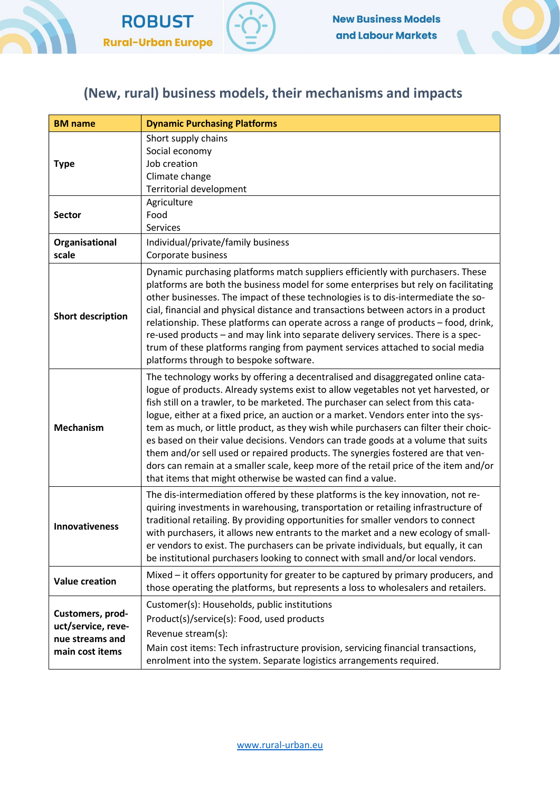



## (New, rural) business models, their mechanisms and impacts

| <b>BM</b> name                                                               | <b>Dynamic Purchasing Platforms</b>                                                                                                                                                                                                                                                                                                                                                                                                                                                                                                                                                                                                                                                                                                                                        |
|------------------------------------------------------------------------------|----------------------------------------------------------------------------------------------------------------------------------------------------------------------------------------------------------------------------------------------------------------------------------------------------------------------------------------------------------------------------------------------------------------------------------------------------------------------------------------------------------------------------------------------------------------------------------------------------------------------------------------------------------------------------------------------------------------------------------------------------------------------------|
| <b>Type</b>                                                                  | Short supply chains<br>Social economy<br>Job creation<br>Climate change<br><b>Territorial development</b>                                                                                                                                                                                                                                                                                                                                                                                                                                                                                                                                                                                                                                                                  |
| <b>Sector</b>                                                                | Agriculture<br>Food<br>Services                                                                                                                                                                                                                                                                                                                                                                                                                                                                                                                                                                                                                                                                                                                                            |
| Organisational<br>scale                                                      | Individual/private/family business<br>Corporate business                                                                                                                                                                                                                                                                                                                                                                                                                                                                                                                                                                                                                                                                                                                   |
| <b>Short description</b>                                                     | Dynamic purchasing platforms match suppliers efficiently with purchasers. These<br>platforms are both the business model for some enterprises but rely on facilitating<br>other businesses. The impact of these technologies is to dis-intermediate the so-<br>cial, financial and physical distance and transactions between actors in a product<br>relationship. These platforms can operate across a range of products - food, drink,<br>re-used products - and may link into separate delivery services. There is a spec-<br>trum of these platforms ranging from payment services attached to social media<br>platforms through to bespoke software.                                                                                                                  |
| <b>Mechanism</b>                                                             | The technology works by offering a decentralised and disaggregated online cata-<br>logue of products. Already systems exist to allow vegetables not yet harvested, or<br>fish still on a trawler, to be marketed. The purchaser can select from this cata-<br>logue, either at a fixed price, an auction or a market. Vendors enter into the sys-<br>tem as much, or little product, as they wish while purchasers can filter their choic-<br>es based on their value decisions. Vendors can trade goods at a volume that suits<br>them and/or sell used or repaired products. The synergies fostered are that ven-<br>dors can remain at a smaller scale, keep more of the retail price of the item and/or<br>that items that might otherwise be wasted can find a value. |
| Innovativeness                                                               | The dis-intermediation offered by these platforms is the key innovation, not re-<br>quiring investments in warehousing, transportation or retailing infrastructure of<br>traditional retailing. By providing opportunities for smaller vendors to connect<br>with purchasers, it allows new entrants to the market and a new ecology of small-<br>er vendors to exist. The purchasers can be private individuals, but equally, it can<br>be institutional purchasers looking to connect with small and/or local vendors.                                                                                                                                                                                                                                                   |
| <b>Value creation</b>                                                        | Mixed – it offers opportunity for greater to be captured by primary producers, and<br>those operating the platforms, but represents a loss to wholesalers and retailers.                                                                                                                                                                                                                                                                                                                                                                                                                                                                                                                                                                                                   |
| Customers, prod-<br>uct/service, reve-<br>nue streams and<br>main cost items | Customer(s): Households, public institutions<br>Product(s)/service(s): Food, used products<br>Revenue stream(s):<br>Main cost items: Tech infrastructure provision, servicing financial transactions,<br>enrolment into the system. Separate logistics arrangements required.                                                                                                                                                                                                                                                                                                                                                                                                                                                                                              |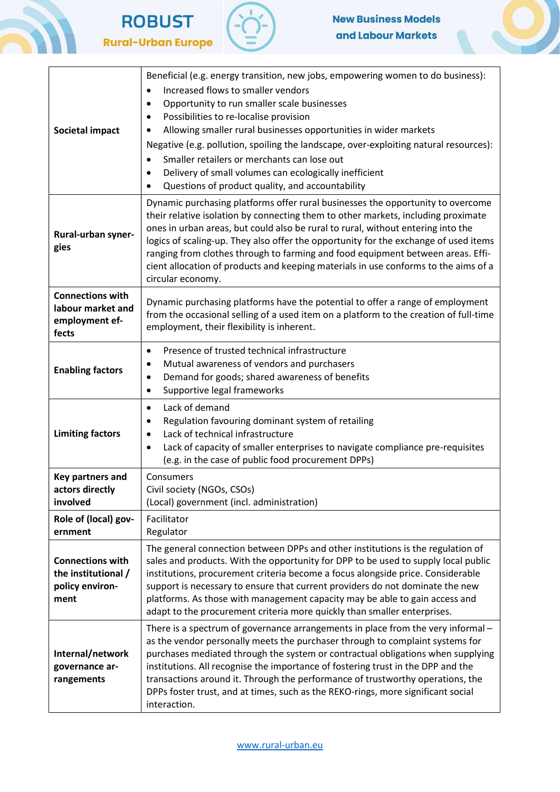







| <b>Societal impact</b>                                                    | Beneficial (e.g. energy transition, new jobs, empowering women to do business):<br>Increased flows to smaller vendors<br>$\bullet$<br>Opportunity to run smaller scale businesses<br>$\bullet$<br>Possibilities to re-localise provision<br>٠<br>Allowing smaller rural businesses opportunities in wider markets<br>٠<br>Negative (e.g. pollution, spoiling the landscape, over-exploiting natural resources):<br>Smaller retailers or merchants can lose out<br>$\bullet$<br>Delivery of small volumes can ecologically inefficient<br>$\bullet$<br>Questions of product quality, and accountability<br>٠ |
|---------------------------------------------------------------------------|-------------------------------------------------------------------------------------------------------------------------------------------------------------------------------------------------------------------------------------------------------------------------------------------------------------------------------------------------------------------------------------------------------------------------------------------------------------------------------------------------------------------------------------------------------------------------------------------------------------|
| Rural-urban syner-<br>gies                                                | Dynamic purchasing platforms offer rural businesses the opportunity to overcome<br>their relative isolation by connecting them to other markets, including proximate<br>ones in urban areas, but could also be rural to rural, without entering into the<br>logics of scaling-up. They also offer the opportunity for the exchange of used items<br>ranging from clothes through to farming and food equipment between areas. Effi-<br>cient allocation of products and keeping materials in use conforms to the aims of a<br>circular economy.                                                             |
| <b>Connections with</b><br>labour market and<br>employment ef-<br>fects   | Dynamic purchasing platforms have the potential to offer a range of employment<br>from the occasional selling of a used item on a platform to the creation of full-time<br>employment, their flexibility is inherent.                                                                                                                                                                                                                                                                                                                                                                                       |
| <b>Enabling factors</b>                                                   | Presence of trusted technical infrastructure<br>$\bullet$<br>Mutual awareness of vendors and purchasers<br>$\bullet$<br>Demand for goods; shared awareness of benefits<br>٠<br>Supportive legal frameworks<br>$\bullet$                                                                                                                                                                                                                                                                                                                                                                                     |
| <b>Limiting factors</b>                                                   | Lack of demand<br>$\bullet$<br>Regulation favouring dominant system of retailing<br>٠<br>Lack of technical infrastructure<br>$\bullet$<br>Lack of capacity of smaller enterprises to navigate compliance pre-requisites<br>$\bullet$<br>(e.g. in the case of public food procurement DPPs)                                                                                                                                                                                                                                                                                                                  |
| Key partners and<br>actors directly<br>involved                           | Consumers<br>Civil society (NGOs, CSOs)<br>(Local) government (incl. administration)                                                                                                                                                                                                                                                                                                                                                                                                                                                                                                                        |
| Role of (local) gov-<br>ernment                                           | Facilitator<br>Regulator                                                                                                                                                                                                                                                                                                                                                                                                                                                                                                                                                                                    |
| <b>Connections with</b><br>the institutional /<br>policy environ-<br>ment | The general connection between DPPs and other institutions is the regulation of<br>sales and products. With the opportunity for DPP to be used to supply local public<br>institutions, procurement criteria become a focus alongside price. Considerable<br>support is necessary to ensure that current providers do not dominate the new<br>platforms. As those with management capacity may be able to gain access and<br>adapt to the procurement criteria more quickly than smaller enterprises.                                                                                                        |
| Internal/network<br>governance ar-<br>rangements                          | There is a spectrum of governance arrangements in place from the very informal -<br>as the vendor personally meets the purchaser through to complaint systems for<br>purchases mediated through the system or contractual obligations when supplying<br>institutions. All recognise the importance of fostering trust in the DPP and the<br>transactions around it. Through the performance of trustworthy operations, the<br>DPPs foster trust, and at times, such as the REKO-rings, more significant social<br>interaction.                                                                              |